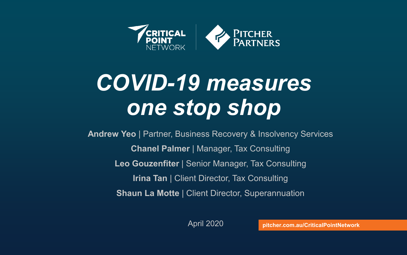

# *COVID-19 measures one stop shop*

**Andrew Yeo** | Partner, Business Recovery & Insolvency Services **Chanel Palmer** | Manager, Tax Consulting **Leo Gouzenfiter** | Senior Manager, Tax Consulting **Irina Tan** | Client Director, Tax Consulting **Shaun La Motte** | Client Director, Superannuation

April 2020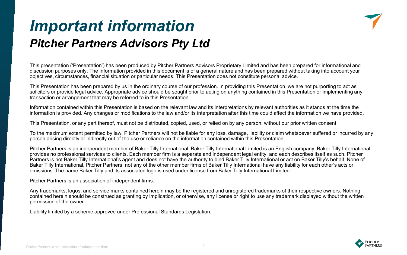### *Important information Pitcher Partners Advisors Pty Ltd*



This presentation ('Presentation') has been produced by Pitcher Partners Advisors Proprietary Limited and has been prepared for informational and discussion purposes only. The information provided in this document is of a general nature and has been prepared without taking into account your objectives, circumstances, financial situation or particular needs. This Presentation does not constitute personal advice.

This Presentation has been prepared by us in the ordinary course of our profession. In providing this Presentation, we are not purporting to act as solicitors or provide legal advice. Appropriate advice should be sought prior to acting on anything contained in this Presentation or implementing any transaction or arrangement that may be referred to in this Presentation.

Information contained within this Presentation is based on the relevant law and its interpretations by relevant authorities as it stands at the time the information is provided. Any changes or modifications to the law and/or its interpretation after this time could affect the information we have provided.

This Presentation, or any part thereof, must not be distributed, copied, used, or relied on by any person, without our prior written consent.

To the maximum extent permitted by law, Pitcher Partners will not be liable for any loss, damage, liability or claim whatsoever suffered or incurred by any person arising directly or indirectly out of the use or reliance on the information contained within this Presentation.

Pitcher Partners is an independent member of Baker Tilly International. Baker Tilly International Limited is an English company. Baker Tilly International provides no professional services to clients. Each member firm is a separate and independent legal entity, and each describes itself as such. Pitcher Partners is not Baker Tilly International's agent and does not have the authority to bind Baker Tilly International or act on Baker Tilly's behalf. None of Baker Tilly International, Pitcher Partners, not any of the other member firms of Baker Tilly International have any liability for each other's acts or omissions. The name Baker Tilly and its associated logo is used under license from Baker Tilly International Limited.

Pitcher Partners is an association of independent firms.

Any trademarks, logos, and service marks contained herein may be the registered and unregistered trademarks of their respective owners. Nothing contained herein should be construed as granting by implication, or otherwise, any license or right to use any trademark displayed without the written permission of the owner.

Liability limited by a scheme approved under Professional Standards Legislation.

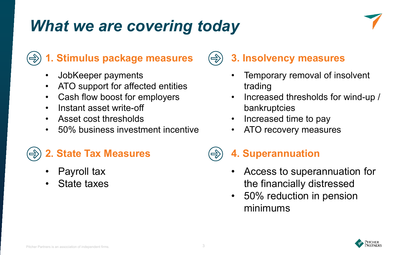## *What we are covering today*

#### **1. Stimulus package measures**

- JobKeeper payments
- ATO support for affected entities
- Cash flow boost for employers
- Instant asset write-off
- Asset cost thresholds
- 50% business investment incentive

### **2. State Tax Measures**

- Payroll tax
- State taxes

### **3. Insolvency measures**

- Temporary removal of insolvent trading
- Increased thresholds for wind-up / bankruptcies
- Increased time to pay
- ATO recovery measures

### **4. Superannuation**

- Access to superannuation for the financially distressed
- 50% reduction in pension minimums

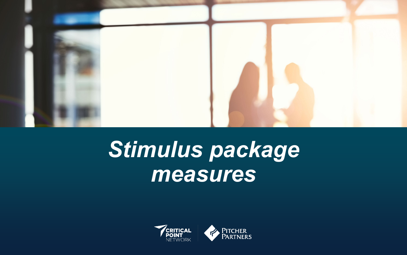

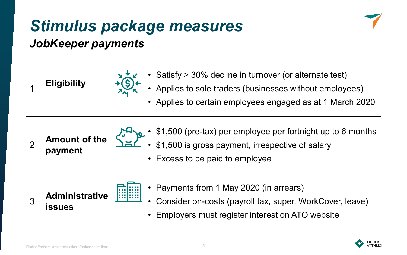#### *JobKeeper payments*



- 
- **Eligibility** → Satisfy > 30% decline in turnover (or alternate test)<br>1 Eligibility → Set → Applies to sole traders (businesses without employees)
	- Applies to certain employees engaged as at 1 March 2020

<sup>2</sup> **Amount of the payment**

- \$1,500 (pre-tax) per employee per fortnight up to 6 months
	- \$1,500 is gross payment, irrespective of salary
	- Excess to be paid to employee



- Payments from 1 May 2020 (in arrears)
	- Consider on-costs (payroll tax, super, WorkCover, leave)
- Employers must register interest on ATO website

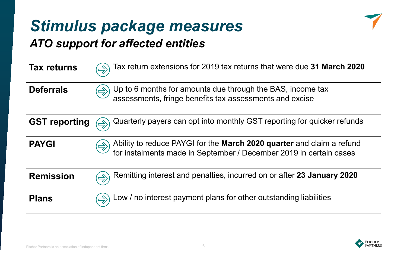## *ATO support for affected entities*



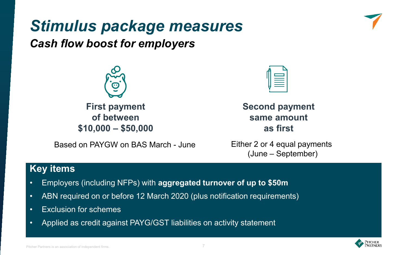

*Cash flow boost for employers*



**First payment of between \$10,000 – \$50,000** 

Based on PAYGW on BAS March - June Either 2 or 4 equal payments



**Second payment same amount as first**

(June – September)

#### **Key items**

- Employers (including NFPs) with **aggregated turnover of up to \$50m**
- ABN required on or before 12 March 2020 (plus notification requirements)
- Exclusion for schemes
- Applied as credit against PAYG/GST liabilities on activity statement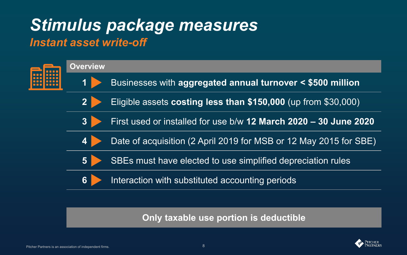## *Stimulus package measures Instant asset write-off*



**Only taxable use portion is deductible**

![](_page_7_Picture_4.jpeg)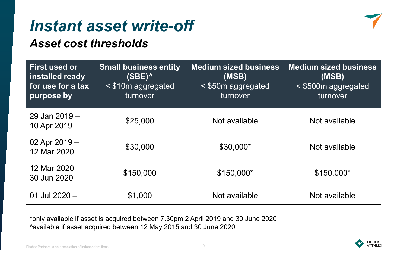## *Instant asset write-off*

#### *Asset cost thresholds*

| <b>First used or</b><br>installed ready<br>for use for a tax<br>purpose by | <b>Small business entity</b><br>$(SBE)^^$<br>$<$ \$10m aggregated<br>turnover | <b>Medium sized business</b><br>(MSB)<br>$\leq$ \$50m aggregated<br>turnover | <b>Medium sized business</b><br>(MSB)<br>< \$500m aggregated<br>turnover |
|----------------------------------------------------------------------------|-------------------------------------------------------------------------------|------------------------------------------------------------------------------|--------------------------------------------------------------------------|
| 29 Jan 2019 -<br>10 Apr 2019                                               | \$25,000                                                                      | Not available                                                                | Not available                                                            |
| 02 Apr 2019 -<br>12 Mar 2020                                               | \$30,000                                                                      | \$30,000*                                                                    | Not available                                                            |
| 12 Mar 2020 -<br>30 Jun 2020                                               | \$150,000                                                                     | \$150,000*                                                                   | \$150,000*                                                               |
| 01 Jul 2020 -                                                              | \$1,000                                                                       | Not available                                                                | Not available                                                            |

\*only available if asset is acquired between 7.30pm 2 April 2019 and 30 June 2020 ^available if asset acquired between 12 May 2015 and 30 June 2020

![](_page_8_Picture_5.jpeg)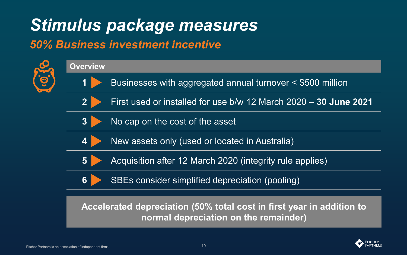### *50% Business investment incentive*

![](_page_9_Figure_2.jpeg)

![](_page_9_Picture_3.jpeg)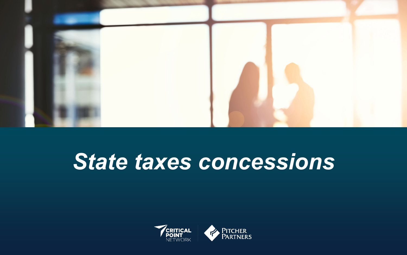![](_page_10_Picture_0.jpeg)

# *State taxes concessions*

![](_page_10_Picture_2.jpeg)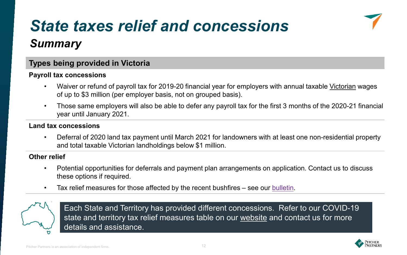## *State taxes relief and concessions*

![](_page_11_Picture_1.jpeg)

### *Summary*

#### **Types being provided in Victoria**

#### **Payroll tax concessions**

- Waiver or refund of payroll tax for 2019-20 financial year for employers with annual taxable Victorian wages of up to \$3 million (per employer basis, not on grouped basis).
- Those same employers will also be able to defer any payroll tax for the first 3 months of the 2020-21 financial year until January 2021.

#### **Land tax concessions**

• Deferral of 2020 land tax payment until March 2021 for landowners with at least one non-residential property and total taxable Victorian landholdings below \$1 million.

#### **Other relief**

- Potential opportunities for deferrals and payment plan arrangements on application. Contact us to discuss these options if required.
- Tax relief measures for those affected by the recent bushfires see our [bulletin](https://www.pitcher.com.au/news/state-taxes-relief-measures-announced-following-bushfires).

![](_page_11_Picture_12.jpeg)

Each State and Territory has provided different concessions. Refer to our COVID-19 state and territory tax relief measures table on our [website](https://www.pitcher.com.au/news/tax-relief-measures-announced-state-and-territory-governments) and contact us for more details and assistance.

![](_page_11_Picture_14.jpeg)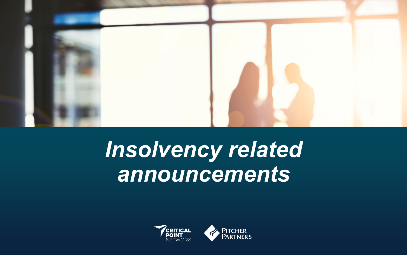![](_page_12_Picture_0.jpeg)

# *Insolvency related announcements*

![](_page_12_Picture_2.jpeg)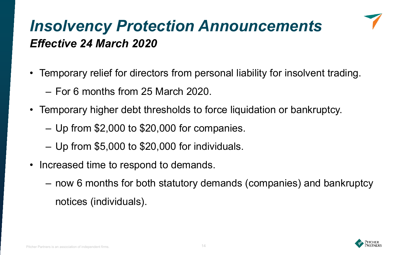## *Insolvency Protection Announcements Effective 24 March 2020*

- Temporary relief for directors from personal liability for insolvent trading.
	- For 6 months from 25 March 2020.
- Temporary higher debt thresholds to force liquidation or bankruptcy.
	- Up from \$2,000 to \$20,000 for companies.
	- Up from \$5,000 to \$20,000 for individuals.
- Increased time to respond to demands.
	- now 6 months for both statutory demands (companies) and bankruptcy notices (individuals).

![](_page_13_Picture_8.jpeg)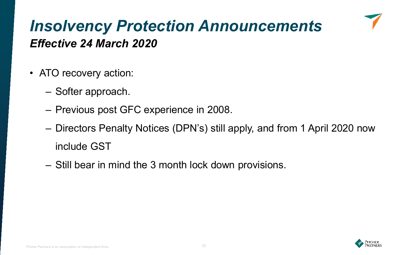## *Insolvency Protection Announcements Effective 24 March 2020*

- ATO recovery action:
	- Softer approach.
	- Previous post GFC experience in 2008.
	- Directors Penalty Notices (DPN's) still apply, and from 1 April 2020 now include GST
	- Still bear in mind the 3 month lock down provisions.

![](_page_14_Picture_6.jpeg)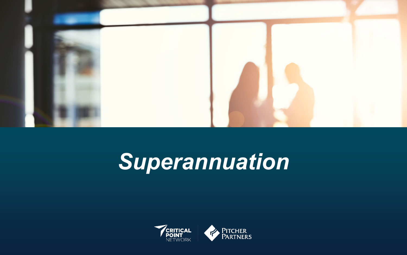![](_page_15_Picture_0.jpeg)

# *Superannuation*

![](_page_15_Picture_2.jpeg)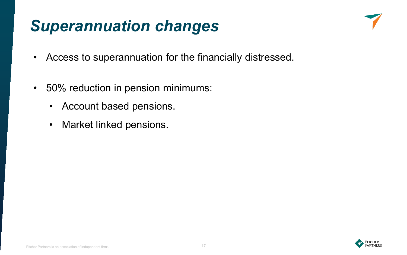## *Superannuation changes*

![](_page_16_Picture_1.jpeg)

- Access to superannuation for the financially distressed.
- 50% reduction in pension minimums:
	- Account based pensions.
	- Market linked pensions.

![](_page_16_Picture_6.jpeg)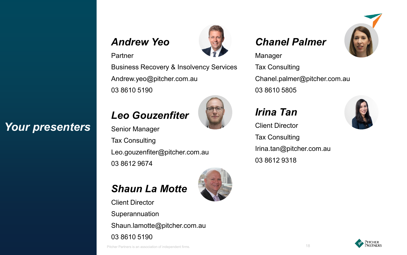#### *Andrew Yeo*

#### Partner

*Your presenters*

Business Recovery & Insolvency Services Andrew.yeo@pitcher.com.au 03 8610 5190

### *Leo Gouzenfiter*

Senior Manager Tax Consulting Leo.gouzenfiter@pitcher.com.au 03 8612 9674

### *Shaun La Motte*

Client Director Superannuation Shaun.lamotte@pitcher.com.au

03 8610 5190

Pitcher Partners is an association of independent firms. 18

![](_page_17_Picture_9.jpeg)

#### Manager

Tax Consulting Chanel.palmer@pitcher.com.au 03 8610 5805

![](_page_17_Picture_12.jpeg)

Client Director

Tax Consulting Irina.tan@pitcher.com.au 03 8612 9318

![](_page_17_Picture_15.jpeg)

![](_page_17_Picture_16.jpeg)

![](_page_17_Picture_18.jpeg)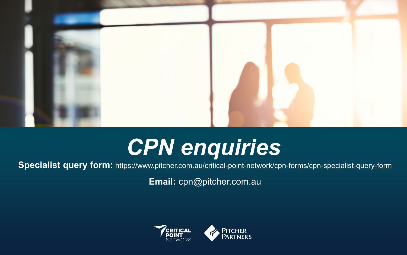![](_page_18_Picture_0.jpeg)

# *CPN enquiries*

**Specialist query form:** <https://www.pitcher.com.au/critical-point-network/cpn-forms/cpn-specialist-query-form>

**Email:** cpn@pitcher.com.au

![](_page_18_Picture_4.jpeg)